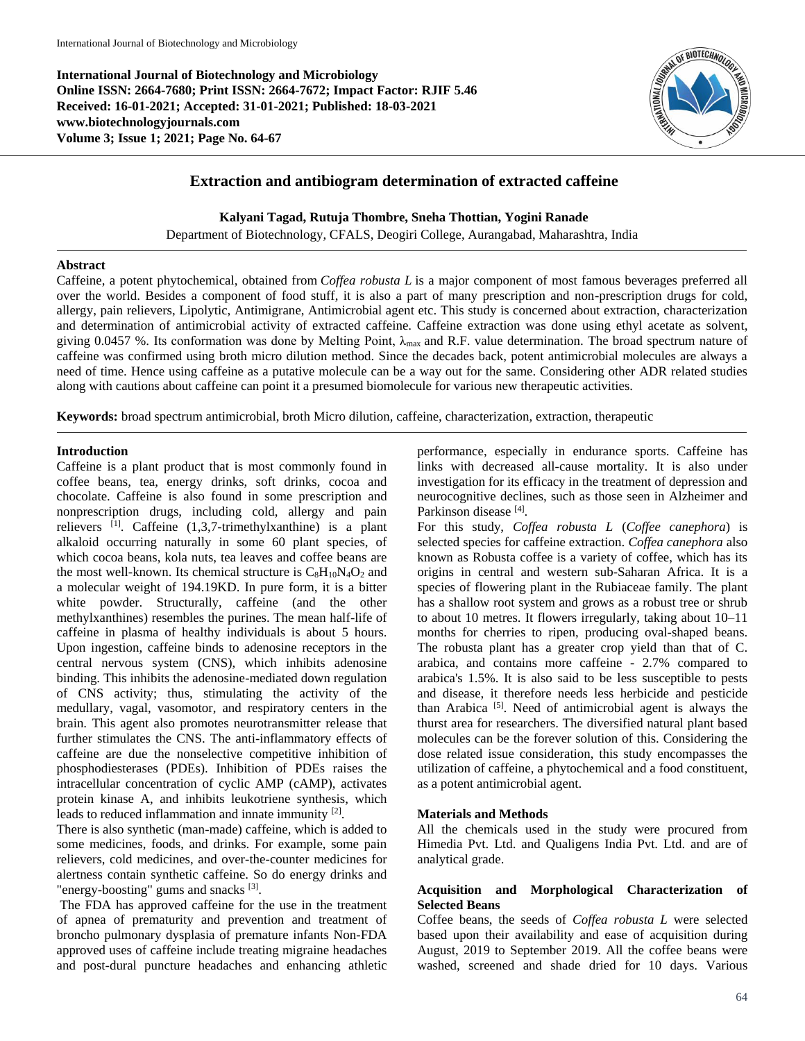**International Journal of Biotechnology and Microbiology Online ISSN: 2664-7680; Print ISSN: 2664-7672; Impact Factor: RJIF 5.46 Received: 16-01-2021; Accepted: 31-01-2021; Published: 18-03-2021 www.biotechnologyjournals.com Volume 3; Issue 1; 2021; Page No. 64-67**



# **Extraction and antibiogram determination of extracted caffeine**

**Kalyani Tagad, Rutuja Thombre, Sneha Thottian, Yogini Ranade**

Department of Biotechnology, CFALS, Deogiri College, Aurangabad, Maharashtra, India

#### **Abstract**

Caffeine, a potent phytochemical, obtained from *Coffea robusta L* is a major component of most famous beverages preferred all over the world. Besides a component of food stuff, it is also a part of many prescription and non-prescription drugs for cold, allergy, pain relievers, Lipolytic, Antimigrane, Antimicrobial agent etc. This study is concerned about extraction, characterization and determination of antimicrobial activity of extracted caffeine. Caffeine extraction was done using ethyl acetate as solvent, giving 0.0457 %. Its conformation was done by Melting Point,  $\lambda_{\text{max}}$  and R.F. value determination. The broad spectrum nature of caffeine was confirmed using broth micro dilution method. Since the decades back, potent antimicrobial molecules are always a need of time. Hence using caffeine as a putative molecule can be a way out for the same. Considering other ADR related studies along with cautions about caffeine can point it a presumed biomolecule for various new therapeutic activities.

**Keywords:** broad spectrum antimicrobial, broth Micro dilution, caffeine, characterization, extraction, therapeutic

#### **Introduction**

Caffeine is a plant product that is most commonly found in coffee beans, tea, energy drinks, soft drinks, cocoa and chocolate. Caffeine is also found in some prescription and nonprescription drugs, including cold, allergy and pain relievers  $[1]$ . Caffeine  $(1,3,7$ -trimethylxanthine) is a plant alkaloid occurring naturally in some 60 plant species, of which cocoa beans, kola nuts, tea leaves and coffee beans are the most well-known. Its chemical structure is  $C_8H_{10}N_4O_2$  and a molecular weight of 194.19KD. In pure form, it is a bitter white powder. Structurally, caffeine (and the other methylxanthines) resembles the purines. The mean half-life of caffeine in plasma of healthy individuals is about 5 hours. Upon ingestion, caffeine binds to adenosine receptors in the central nervous system (CNS), which inhibits adenosine binding. This inhibits the adenosine-mediated down regulation of CNS activity; thus, stimulating the activity of the medullary, vagal, vasomotor, and respiratory centers in the brain. This agent also promotes neurotransmitter release that further stimulates the CNS. The anti-inflammatory effects of caffeine are due the nonselective competitive inhibition of phosphodiesterases (PDEs). Inhibition of PDEs raises the intracellular concentration of cyclic AMP (cAMP), activates protein kinase A, and inhibits leukotriene synthesis, which leads to reduced inflammation and innate immunity <sup>[2]</sup>.

There is also synthetic (man-made) caffeine, which is added to some medicines, foods, and drinks. For example, some pain relievers, cold medicines, and over-the-counter medicines for alertness contain synthetic caffeine. So do energy drinks and "energy-boosting" gums and snacks [3].

The FDA has approved caffeine for the use in the treatment of apnea of prematurity and prevention and treatment of broncho pulmonary dysplasia of premature infants Non-FDA approved uses of caffeine include treating migraine headaches and post-dural puncture headaches and enhancing athletic performance, especially in endurance sports. Caffeine has links with decreased all-cause mortality. It is also under investigation for its efficacy in the treatment of depression and neurocognitive declines, such as those seen in Alzheimer and Parkinson disease<sup>[4]</sup>.

For this study, *Coffea robusta L* (*Coffee canephora*) is selected species for caffeine extraction. *Coffea canephora* also known as Robusta coffee is a variety of coffee, which has its origins in central and western sub-Saharan Africa. It is a species of flowering plant in the Rubiaceae family. The plant has a shallow root system and grows as a robust tree or shrub to about 10 metres. It flowers irregularly, taking about 10–11 months for cherries to ripen, producing oval-shaped beans. The robusta plant has a greater crop yield than that of C. arabica, and contains more caffeine - 2.7% compared to arabica's 1.5%. It is also said to be less susceptible to pests and disease, it therefore needs less herbicide and pesticide than Arabica<sup>[5]</sup>. Need of antimicrobial agent is always the thurst area for researchers. The diversified natural plant based molecules can be the forever solution of this. Considering the dose related issue consideration, this study encompasses the utilization of caffeine, a phytochemical and a food constituent, as a potent antimicrobial agent.

#### **Materials and Methods**

All the chemicals used in the study were procured from Himedia Pvt. Ltd. and Qualigens India Pvt. Ltd. and are of analytical grade.

# **Acquisition and Morphological Characterization of Selected Beans**

Coffee beans, the seeds of *Coffea robusta L* were selected based upon their availability and ease of acquisition during August, 2019 to September 2019. All the coffee beans were washed, screened and shade dried for 10 days. Various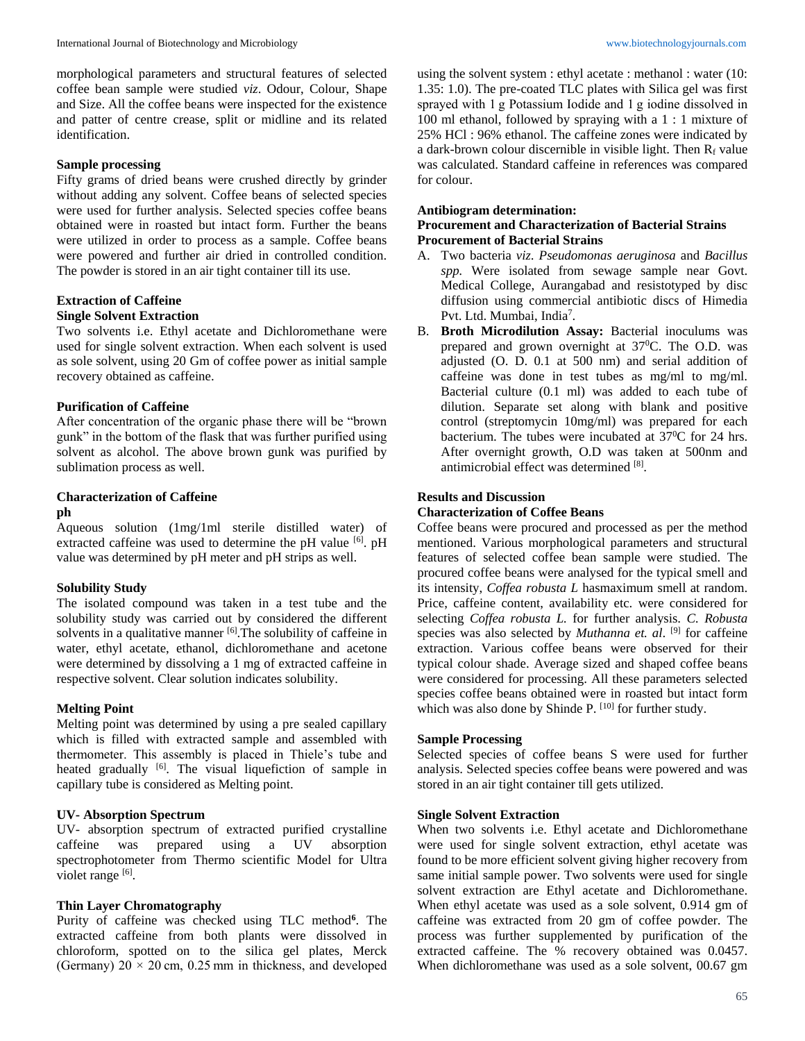morphological parameters and structural features of selected coffee bean sample were studied *viz*. Odour, Colour, Shape and Size. All the coffee beans were inspected for the existence and patter of centre crease, split or midline and its related identification.

### **Sample processing**

Fifty grams of dried beans were crushed directly by grinder without adding any solvent. Coffee beans of selected species were used for further analysis. Selected species coffee beans obtained were in roasted but intact form. Further the beans were utilized in order to process as a sample. Coffee beans were powered and further air dried in controlled condition. The powder is stored in an air tight container till its use.

# **Extraction of Caffeine Single Solvent Extraction**

Two solvents i.e. Ethyl acetate and Dichloromethane were used for single solvent extraction. When each solvent is used as sole solvent, using 20 Gm of coffee power as initial sample recovery obtained as caffeine.

### **Purification of Caffeine**

After concentration of the organic phase there will be "brown gunk" in the bottom of the flask that was further purified using solvent as alcohol. The above brown gunk was purified by sublimation process as well.

# **Characterization of Caffeine**

# **ph**

Aqueous solution (1mg/1ml sterile distilled water) of extracted caffeine was used to determine the pH value [6]. pH value was determined by pH meter and pH strips as well.

### **Solubility Study**

The isolated compound was taken in a test tube and the solubility study was carried out by considered the different solvents in a qualitative manner  $[6]$ . The solubility of caffeine in water, ethyl acetate, ethanol, dichloromethane and acetone were determined by dissolving a 1 mg of extracted caffeine in respective solvent. Clear solution indicates solubility.

### **Melting Point**

Melting point was determined by using a pre sealed capillary which is filled with extracted sample and assembled with thermometer. This assembly is placed in Thiele's tube and heated gradually <sup>[6]</sup>. The visual liquefiction of sample in capillary tube is considered as Melting point.

### **UV- Absorption Spectrum**

UV- absorption spectrum of extracted purified crystalline caffeine was prepared using a UV absorption spectrophotometer from Thermo scientific Model for Ultra violet range [6].

### **Thin Layer Chromatography**

Purity of caffeine was checked using TLC method**<sup>6</sup>** . The extracted caffeine from both plants were dissolved in chloroform, spotted on to the silica gel plates, Merck (Germany)  $20 \times 20$  cm, 0.25 mm in thickness, and developed

using the solvent system : ethyl acetate : methanol : water (10: 1.35: 1.0). The pre-coated TLC plates with Silica gel was first sprayed with 1 g Potassium Iodide and 1 g iodine dissolved in 100 ml ethanol, followed by spraying with a 1 : 1 mixture of 25% HCl : 96% ethanol. The caffeine zones were indicated by a dark-brown colour discernible in visible light. Then  $R_f$  value was calculated. Standard caffeine in references was compared for colour.

#### **Antibiogram determination:**

# **Procurement and Characterization of Bacterial Strains Procurement of Bacterial Strains**

- A. Two bacteria *viz*. *Pseudomonas aeruginosa* and *Bacillus spp.* Were isolated from sewage sample near Govt. Medical College, Aurangabad and resistotyped by disc diffusion using commercial antibiotic discs of Himedia Pvt. Ltd. Mumbai, India<sup>7</sup>.
- B. **Broth Microdilution Assay:** Bacterial inoculums was prepared and grown overnight at  $37^{\circ}$ C. The O.D. was adjusted (O. D. 0.1 at 500 nm) and serial addition of caffeine was done in test tubes as mg/ml to mg/ml. Bacterial culture (0.1 ml) was added to each tube of dilution. Separate set along with blank and positive control (streptomycin 10mg/ml) was prepared for each bacterium. The tubes were incubated at 37<sup>0</sup>C for 24 hrs. After overnight growth, O.D was taken at 500nm and antimicrobial effect was determined [8].

### **Results and Discussion**

# **Characterization of Coffee Beans**

Coffee beans were procured and processed as per the method mentioned. Various morphological parameters and structural features of selected coffee bean sample were studied. The procured coffee beans were analysed for the typical smell and its intensity, *Coffea robusta L* hasmaximum smell at random. Price, caffeine content, availability etc. were considered for selecting *Coffea robusta L.* for further analysis. *C. Robusta* species was also selected by *Muthanna et. al.* <sup>[9]</sup> for caffeine extraction. Various coffee beans were observed for their typical colour shade. Average sized and shaped coffee beans were considered for processing. All these parameters selected species coffee beans obtained were in roasted but intact form which was also done by Shinde P. [10] for further study.

### **Sample Processing**

Selected species of coffee beans S were used for further analysis. Selected species coffee beans were powered and was stored in an air tight container till gets utilized.

#### **Single Solvent Extraction**

When two solvents i.e. Ethyl acetate and Dichloromethane were used for single solvent extraction, ethyl acetate was found to be more efficient solvent giving higher recovery from same initial sample power. Two solvents were used for single solvent extraction are Ethyl acetate and Dichloromethane. When ethyl acetate was used as a sole solvent, 0.914 gm of caffeine was extracted from 20 gm of coffee powder. The process was further supplemented by purification of the extracted caffeine. The % recovery obtained was 0.0457. When dichloromethane was used as a sole solvent, 00.67 gm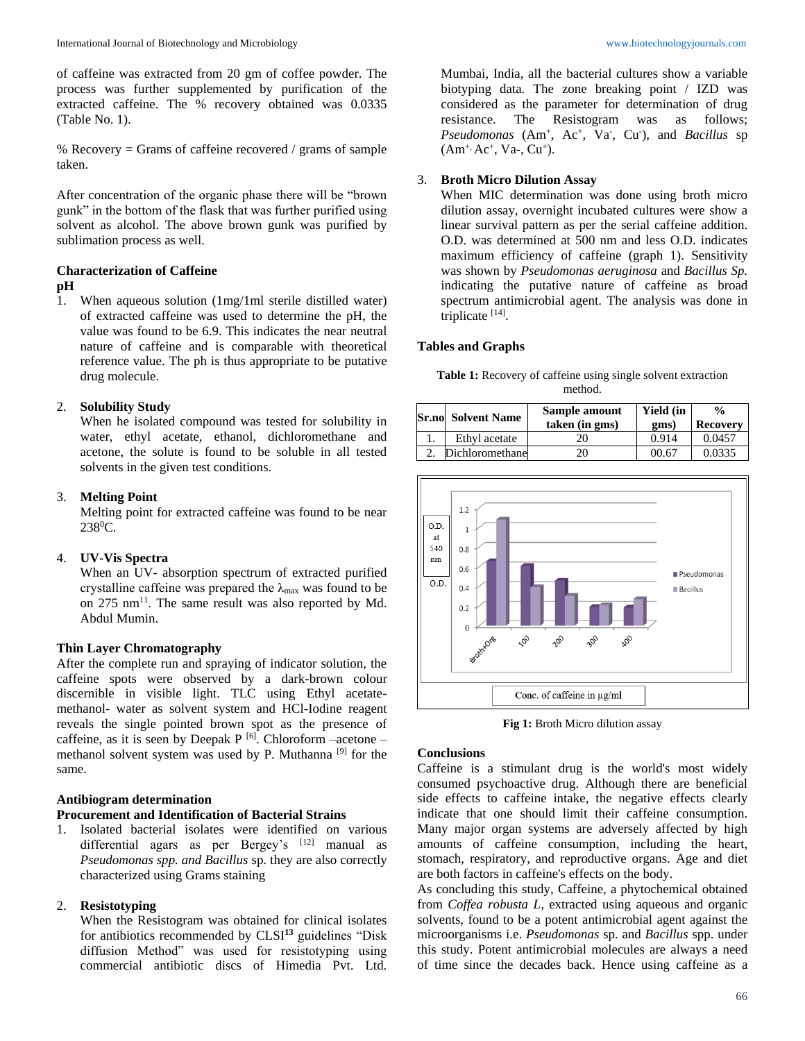of caffeine was extracted from 20 gm of coffee powder. The process was further supplemented by purification of the extracted caffeine. The % recovery obtained was 0.0335 (Table No. 1).

% Recovery = Grams of caffeine recovered / grams of sample taken.

After concentration of the organic phase there will be "brown gunk" in the bottom of the flask that was further purified using solvent as alcohol. The above brown gunk was purified by sublimation process as well.

# **Characterization of Caffeine**

# **pH**

1. When aqueous solution (1mg/1ml sterile distilled water) of extracted caffeine was used to determine the pH, the value was found to be 6.9. This indicates the near neutral nature of caffeine and is comparable with theoretical reference value. The ph is thus appropriate to be putative drug molecule.

# 2. **Solubility Study**

When he isolated compound was tested for solubility in water, ethyl acetate, ethanol, dichloromethane and acetone, the solute is found to be soluble in all tested solvents in the given test conditions.

### 3. **Melting Point**

Melting point for extracted caffeine was found to be near 238<sup>0</sup>C.

### 4. **UV-Vis Spectra**

When an UV- absorption spectrum of extracted purified crystalline caffeine was prepared the  $\lambda_{\text{max}}$  was found to be on 275 nm<sup>11</sup>. The same result was also reported by Md. Abdul Mumin.

#### **Thin Layer Chromatography**

After the complete run and spraying of indicator solution, the caffeine spots were observed by a dark-brown colour discernible in visible light. TLC using Ethyl acetatemethanol- water as solvent system and HCl-Iodine reagent reveals the single pointed brown spot as the presence of caffeine, as it is seen by Deepak P  $^{[6]}$ . Chloroform –acetone – methanol solvent system was used by P. Muthanna<sup>[9]</sup> for the same.

#### **Antibiogram determination**

### **Procurement and Identification of Bacterial Strains**

1. Isolated bacterial isolates were identified on various differential agars as per Bergey's [12] manual as *Pseudomonas spp. and Bacillus* sp. they are also correctly characterized using Grams staining

#### 2. **Resistotyping**

When the Resistogram was obtained for clinical isolates for antibiotics recommended by CLSI**<sup>13</sup>** guidelines "Disk diffusion Method" was used for resistotyping using commercial antibiotic discs of Himedia Pvt. Ltd.

Mumbai, India, all the bacterial cultures show a variable biotyping data. The zone breaking point / IZD was considered as the parameter for determination of drug resistance. The Resistogram was as follows; Pseudomonas (Am<sup>+</sup>, Ac<sup>+</sup>, Va<sup>-</sup>, Cu<sup>-</sup>), and *Bacillus* sp (Am<sup>+,</sup> Ac<sup>+</sup>, Va-, Cu<sup>+</sup>).

# 3. **Broth Micro Dilution Assay**

When MIC determination was done using broth micro dilution assay, overnight incubated cultures were show a linear survival pattern as per the serial caffeine addition. O.D. was determined at 500 nm and less O.D. indicates maximum efficiency of caffeine (graph 1). Sensitivity was shown by *Pseudomonas aeruginosa* and *Bacillus Sp.*  indicating the putative nature of caffeine as broad spectrum antimicrobial agent. The analysis was done in triplicate [14].

#### **Tables and Graphs**

**Table 1:** Recovery of caffeine using single solvent extraction method.

| <b>Sr.no</b> Solvent Name | Sample amount<br>taken (in gms) | <b>Yield</b> (in<br>gms) | $\frac{0}{0}$<br><b>Recovery</b> |
|---------------------------|---------------------------------|--------------------------|----------------------------------|
| Ethyl acetate             | 20                              | 0.914                    | 0.0457                           |
| Dichloromethane           |                                 | 00.67                    | 0.0335                           |



**Fig 1:** Broth Micro dilution assay

# **Conclusions**

Caffeine is a stimulant drug is the world's most widely consumed psychoactive drug. Although there are beneficial side effects to caffeine intake, the negative effects clearly indicate that one should limit their caffeine consumption. Many major organ systems are adversely affected by high amounts of caffeine consumption, including the heart, stomach, respiratory, and reproductive organs. Age and diet are both factors in caffeine's effects on the body.

As concluding this study, Caffeine, a phytochemical obtained from *Coffea robusta L*, extracted using aqueous and organic solvents, found to be a potent antimicrobial agent against the microorganisms i.e. *Pseudomonas* sp. and *Bacillus* spp. under this study. Potent antimicrobial molecules are always a need of time since the decades back. Hence using caffeine as a